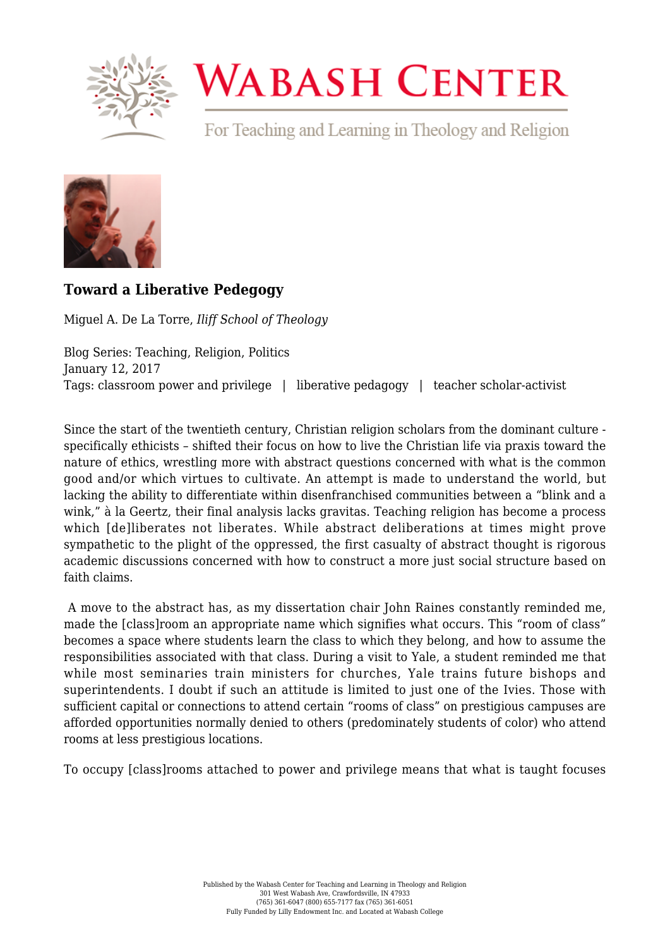

## **WABASH CENTER**

For Teaching and Learning in Theology and Religion



## **[Toward a Liberative Pedegogy](https://www.wabashcenter.wabash.edu/2017/01/toward-a-liberative-pedegogy/)**

Miguel A. De La Torre, *Iliff School of Theology*

Blog Series: Teaching, Religion, Politics January 12, 2017 Tags: classroom power and privilege | liberative pedagogy | teacher scholar-activist

Since the start of the twentieth century, Christian religion scholars from the dominant culture specifically ethicists – shifted their focus on how to live the Christian life via praxis toward the nature of ethics, wrestling more with abstract questions concerned with what is the common good and/or which virtues to cultivate. An attempt is made to understand the world, but lacking the ability to differentiate within disenfranchised communities between a "blink and a wink," à la Geertz, their final analysis lacks gravitas. Teaching religion has become a process which [de]liberates not liberates. While abstract deliberations at times might prove sympathetic to the plight of the oppressed, the first casualty of abstract thought is rigorous academic discussions concerned with how to construct a more just social structure based on faith claims.

 A move to the abstract has, as my dissertation chair John Raines constantly reminded me, made the [class]room an appropriate name which signifies what occurs. This "room of class" becomes a space where students learn the class to which they belong, and how to assume the responsibilities associated with that class. During a visit to Yale, a student reminded me that while most seminaries train ministers for churches. Yale trains future bishops and superintendents. I doubt if such an attitude is limited to just one of the Ivies. Those with sufficient capital or connections to attend certain "rooms of class" on prestigious campuses are afforded opportunities normally denied to others (predominately students of color) who attend rooms at less prestigious locations.

To occupy [class]rooms attached to power and privilege means that what is taught focuses